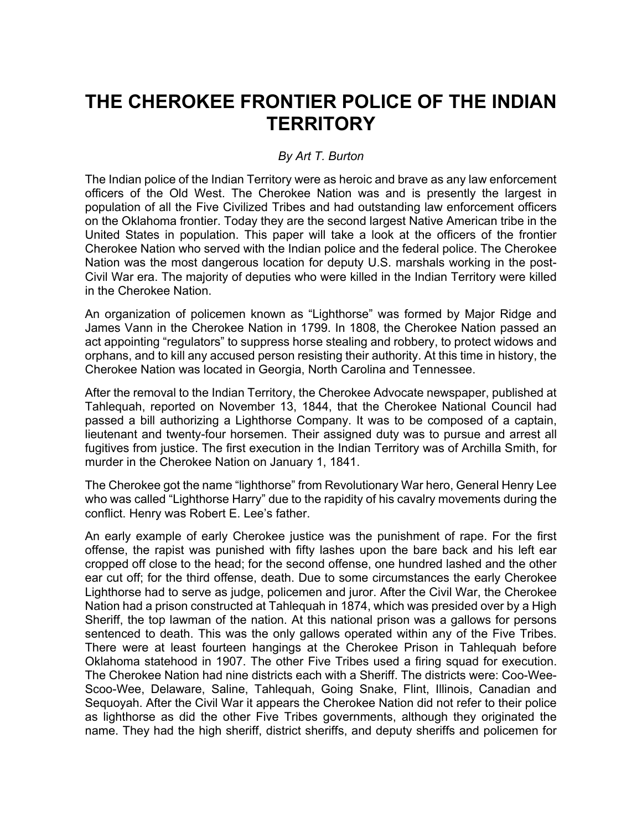# **THE CHEROKEE FRONTIER POLICE OF THE INDIAN TERRITORY**

## *By Art T. Burton*

The Indian police of the Indian Territory were as heroic and brave as any law enforcement officers of the Old West. The Cherokee Nation was and is presently the largest in population of all the Five Civilized Tribes and had outstanding law enforcement officers on the Oklahoma frontier. Today they are the second largest Native American tribe in the United States in population. This paper will take a look at the officers of the frontier Cherokee Nation who served with the Indian police and the federal police. The Cherokee Nation was the most dangerous location for deputy U.S. marshals working in the post-Civil War era. The majority of deputies who were killed in the Indian Territory were killed in the Cherokee Nation.

An organization of policemen known as "Lighthorse" was formed by Major Ridge and James Vann in the Cherokee Nation in 1799. In 1808, the Cherokee Nation passed an act appointing "regulators" to suppress horse stealing and robbery, to protect widows and orphans, and to kill any accused person resisting their authority. At this time in history, the Cherokee Nation was located in Georgia, North Carolina and Tennessee.

After the removal to the Indian Territory, the Cherokee Advocate newspaper, published at Tahlequah, reported on November 13, 1844, that the Cherokee National Council had passed a bill authorizing a Lighthorse Company. It was to be composed of a captain, lieutenant and twenty-four horsemen. Their assigned duty was to pursue and arrest all fugitives from justice. The first execution in the Indian Territory was of Archilla Smith, for murder in the Cherokee Nation on January 1, 1841.

The Cherokee got the name "lighthorse" from Revolutionary War hero, General Henry Lee who was called "Lighthorse Harry" due to the rapidity of his cavalry movements during the conflict. Henry was Robert E. Lee's father.

An early example of early Cherokee justice was the punishment of rape. For the first offense, the rapist was punished with fifty lashes upon the bare back and his left ear cropped off close to the head; for the second offense, one hundred lashed and the other ear cut off; for the third offense, death. Due to some circumstances the early Cherokee Lighthorse had to serve as judge, policemen and juror. After the Civil War, the Cherokee Nation had a prison constructed at Tahlequah in 1874, which was presided over by a High Sheriff, the top lawman of the nation. At this national prison was a gallows for persons sentenced to death. This was the only gallows operated within any of the Five Tribes. There were at least fourteen hangings at the Cherokee Prison in Tahlequah before Oklahoma statehood in 1907. The other Five Tribes used a firing squad for execution. The Cherokee Nation had nine districts each with a Sheriff. The districts were: Coo-Wee-Scoo-Wee, Delaware, Saline, Tahlequah, Going Snake, Flint, Illinois, Canadian and Sequoyah. After the Civil War it appears the Cherokee Nation did not refer to their police as lighthorse as did the other Five Tribes governments, although they originated the name. They had the high sheriff, district sheriffs, and deputy sheriffs and policemen for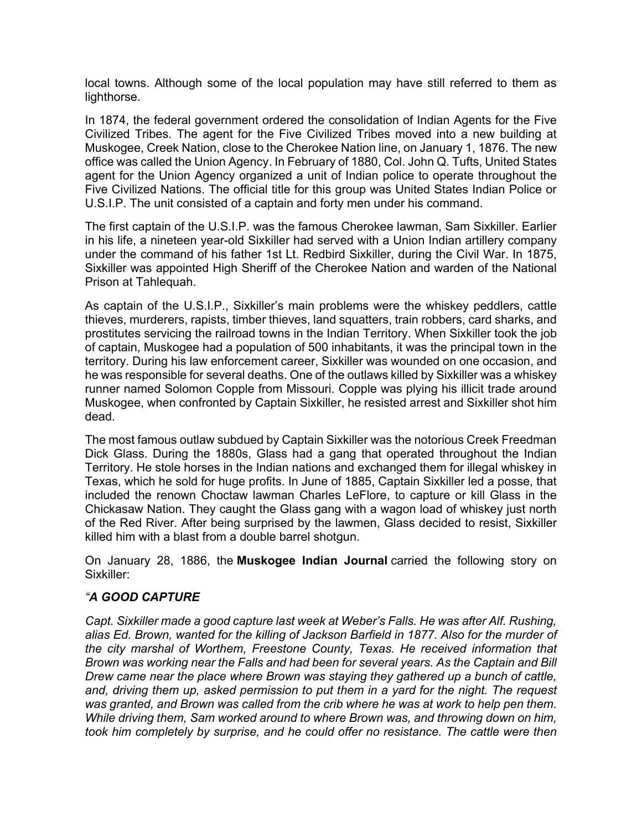local towns. Although some of the local population may have still referred to them as lighthorse.

In 1874, the federal government ordered the consolidation of Indian Agents for the Five Civilized Tribes. The agent for the Five Civilized Tribes moved into a new building at Muskogee, Creek Nation, close to the Cherokee Nation line, on January 1, 1876. The new office was called the Union Agency. In February of 1880, Col. John Q. Tufts, United States agent for the Union Agency organized a unit of Indian police to operate throughout the Five Civilized Nations. The official title for this group was United States Indian Police or U.S.I.P. The unit consisted of a captain and forty men under his command.

The first captain of the U.S.I.P. was the famous Cherokee lawman, Sam Sixkiller. Earlier in his life, a nineteen year-old Sixkiller had served with a Union Indian artillery company under the command of his father 1st Lt. Redbird Sixkiller, during the Civil War. In 1875, Sixkiller was appointed High Sheriff of the Cherokee Nation and warden of the National Prison at Tahlequah.

As captain of the U.S.I.P., Sixkiller's main problems were the whiskey peddlers, cattle thieves, murderers, rapists, timber thieves, land squatters, train robbers, card sharks, and prostitutes servicing the railroad towns in the Indian Territory. When Sixkiller took the job of captain, Muskogee had a population of 500 inhabitants, it was the principal town in the territory. During his law enforcement career, Sixkiller was wounded on one occasion, and he was responsible for several deaths. One of the outlaws killed by Sixkiller was a whiskey runner named Solomon Copple from Missouri. Copple was plying his illicit trade around Muskogee, when confronted by Captain Sixkiller, he resisted arrest and Sixkiller shot him dead.

The most famous outlaw subdued by Captain Sixkiller was the notorious Creek Freedman Dick Glass. During the 1880s, Glass had a gang that operated throughout the Indian Territory. He stole horses in the Indian nations and exchanged them for illegal whiskey in Texas, which he sold for huge profits. In June of 1885, Captain Sixkiller led a posse, that included the renown Choctaw lawman Charles LeFlore, to capture or kill Glass in the Chickasaw Nation. They caught the Glass gang with a wagon load of whiskey just north of the Red River. After being surprised by the lawmen, Glass decided to resist, Sixkiller killed him with a blast from a double barrel shotgun.

On January 28, 1886, the **Muskogee Indian Journal** carried the following story on Sixkiller:

### *"A GOOD CAPTURE*

*Capt. Sixkiller made a good capture last week at Weber's Falls. He was after Alf. Rushing, alias Ed. Brown, wanted for the killing of Jackson Barfield in 1877. Also for the murder of the city marshal of Worthem, Freestone County, Texas. He received information that Brown was working near the Falls and had been for several years. As the Captain and Bill Drew came near the place where Brown was staying they gathered up a bunch of cattle, and, driving them up, asked permission to put them in a yard for the night. The request*  was granted, and Brown was called from the crib where he was at work to help pen them. *While driving them, Sam worked around to where Brown was, and throwing down on him, took him completely by surprise, and he could offer no resistance. The cattle were then*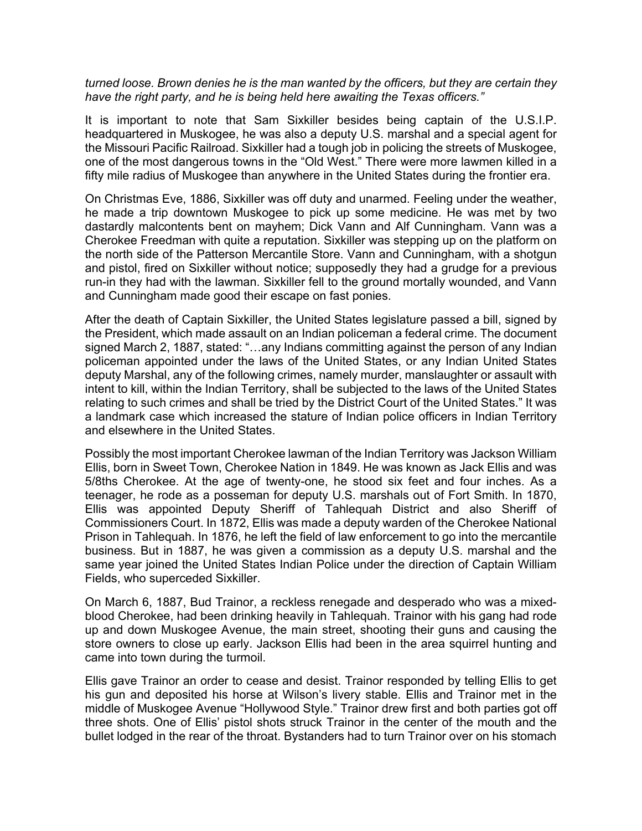#### *turned loose. Brown denies he is the man wanted by the officers, but they are certain they have the right party, and he is being held here awaiting the Texas officers."*

It is important to note that Sam Sixkiller besides being captain of the U.S.I.P. headquartered in Muskogee, he was also a deputy U.S. marshal and a special agent for the Missouri Pacific Railroad. Sixkiller had a tough job in policing the streets of Muskogee, one of the most dangerous towns in the "Old West." There were more lawmen killed in a fifty mile radius of Muskogee than anywhere in the United States during the frontier era.

On Christmas Eve, 1886, Sixkiller was off duty and unarmed. Feeling under the weather, he made a trip downtown Muskogee to pick up some medicine. He was met by two dastardly malcontents bent on mayhem; Dick Vann and Alf Cunningham. Vann was a Cherokee Freedman with quite a reputation. Sixkiller was stepping up on the platform on the north side of the Patterson Mercantile Store. Vann and Cunningham, with a shotgun and pistol, fired on Sixkiller without notice; supposedly they had a grudge for a previous run-in they had with the lawman. Sixkiller fell to the ground mortally wounded, and Vann and Cunningham made good their escape on fast ponies.

After the death of Captain Sixkiller, the United States legislature passed a bill, signed by the President, which made assault on an Indian policeman a federal crime. The document signed March 2, 1887, stated: "…any Indians committing against the person of any Indian policeman appointed under the laws of the United States, or any Indian United States deputy Marshal, any of the following crimes, namely murder, manslaughter or assault with intent to kill, within the Indian Territory, shall be subjected to the laws of the United States relating to such crimes and shall be tried by the District Court of the United States." It was a landmark case which increased the stature of Indian police officers in Indian Territory and elsewhere in the United States.

Possibly the most important Cherokee lawman of the Indian Territory was Jackson William Ellis, born in Sweet Town, Cherokee Nation in 1849. He was known as Jack Ellis and was 5/8ths Cherokee. At the age of twenty-one, he stood six feet and four inches. As a teenager, he rode as a posseman for deputy U.S. marshals out of Fort Smith. In 1870, Ellis was appointed Deputy Sheriff of Tahlequah District and also Sheriff of Commissioners Court. In 1872, Ellis was made a deputy warden of the Cherokee National Prison in Tahlequah. In 1876, he left the field of law enforcement to go into the mercantile business. But in 1887, he was given a commission as a deputy U.S. marshal and the same year joined the United States Indian Police under the direction of Captain William Fields, who superceded Sixkiller.

On March 6, 1887, Bud Trainor, a reckless renegade and desperado who was a mixedblood Cherokee, had been drinking heavily in Tahlequah. Trainor with his gang had rode up and down Muskogee Avenue, the main street, shooting their guns and causing the store owners to close up early. Jackson Ellis had been in the area squirrel hunting and came into town during the turmoil.

Ellis gave Trainor an order to cease and desist. Trainor responded by telling Ellis to get his gun and deposited his horse at Wilson's livery stable. Ellis and Trainor met in the middle of Muskogee Avenue "Hollywood Style." Trainor drew first and both parties got off three shots. One of Ellis' pistol shots struck Trainor in the center of the mouth and the bullet lodged in the rear of the throat. Bystanders had to turn Trainor over on his stomach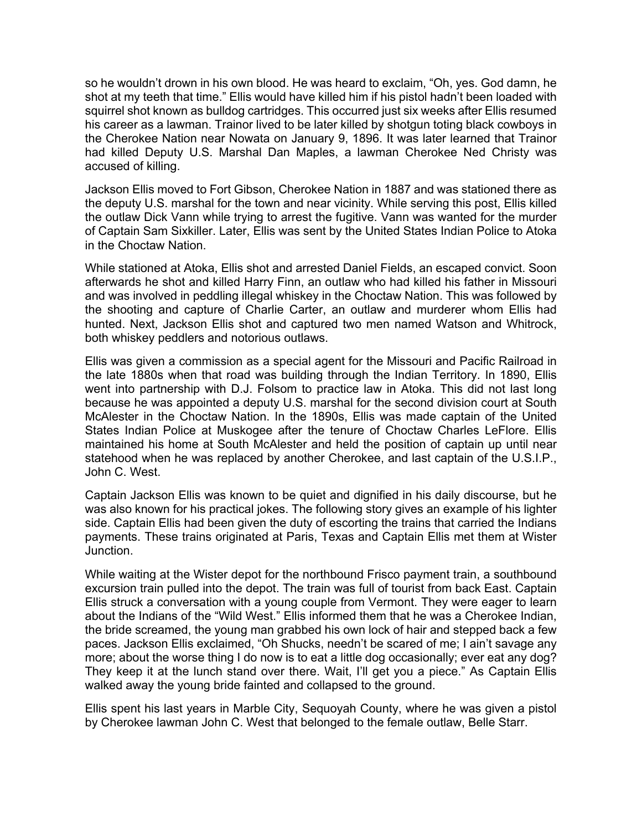so he wouldn't drown in his own blood. He was heard to exclaim, "Oh, yes. God damn, he shot at my teeth that time." Ellis would have killed him if his pistol hadn't been loaded with squirrel shot known as bulldog cartridges. This occurred just six weeks after Ellis resumed his career as a lawman. Trainor lived to be later killed by shotgun toting black cowboys in the Cherokee Nation near Nowata on January 9, 1896. It was later learned that Trainor had killed Deputy U.S. Marshal Dan Maples, a lawman Cherokee Ned Christy was accused of killing.

Jackson Ellis moved to Fort Gibson, Cherokee Nation in 1887 and was stationed there as the deputy U.S. marshal for the town and near vicinity. While serving this post, Ellis killed the outlaw Dick Vann while trying to arrest the fugitive. Vann was wanted for the murder of Captain Sam Sixkiller. Later, Ellis was sent by the United States Indian Police to Atoka in the Choctaw Nation.

While stationed at Atoka, Ellis shot and arrested Daniel Fields, an escaped convict. Soon afterwards he shot and killed Harry Finn, an outlaw who had killed his father in Missouri and was involved in peddling illegal whiskey in the Choctaw Nation. This was followed by the shooting and capture of Charlie Carter, an outlaw and murderer whom Ellis had hunted. Next, Jackson Ellis shot and captured two men named Watson and Whitrock, both whiskey peddlers and notorious outlaws.

Ellis was given a commission as a special agent for the Missouri and Pacific Railroad in the late 1880s when that road was building through the Indian Territory. In 1890, Ellis went into partnership with D.J. Folsom to practice law in Atoka. This did not last long because he was appointed a deputy U.S. marshal for the second division court at South McAlester in the Choctaw Nation. In the 1890s, Ellis was made captain of the United States Indian Police at Muskogee after the tenure of Choctaw Charles LeFlore. Ellis maintained his home at South McAlester and held the position of captain up until near statehood when he was replaced by another Cherokee, and last captain of the U.S.I.P., John C. West.

Captain Jackson Ellis was known to be quiet and dignified in his daily discourse, but he was also known for his practical jokes. The following story gives an example of his lighter side. Captain Ellis had been given the duty of escorting the trains that carried the Indians payments. These trains originated at Paris, Texas and Captain Ellis met them at Wister Junction.

While waiting at the Wister depot for the northbound Frisco payment train, a southbound excursion train pulled into the depot. The train was full of tourist from back East. Captain Ellis struck a conversation with a young couple from Vermont. They were eager to learn about the Indians of the "Wild West." Ellis informed them that he was a Cherokee Indian, the bride screamed, the young man grabbed his own lock of hair and stepped back a few paces. Jackson Ellis exclaimed, "Oh Shucks, needn't be scared of me; I ain't savage any more; about the worse thing I do now is to eat a little dog occasionally; ever eat any dog? They keep it at the lunch stand over there. Wait, I'll get you a piece." As Captain Ellis walked away the young bride fainted and collapsed to the ground.

Ellis spent his last years in Marble City, Sequoyah County, where he was given a pistol by Cherokee lawman John C. West that belonged to the female outlaw, Belle Starr.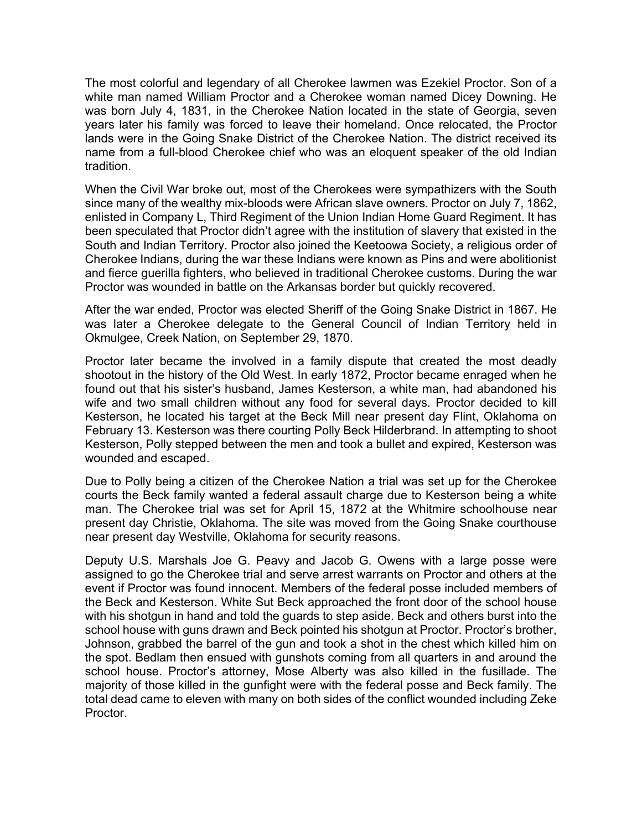The most colorful and legendary of all Cherokee lawmen was Ezekiel Proctor. Son of a white man named William Proctor and a Cherokee woman named Dicey Downing. He was born July 4, 1831, in the Cherokee Nation located in the state of Georgia, seven years later his family was forced to leave their homeland. Once relocated, the Proctor lands were in the Going Snake District of the Cherokee Nation. The district received its name from a full-blood Cherokee chief who was an eloquent speaker of the old Indian tradition.

When the Civil War broke out, most of the Cherokees were sympathizers with the South since many of the wealthy mix-bloods were African slave owners. Proctor on July 7, 1862, enlisted in Company L, Third Regiment of the Union Indian Home Guard Regiment. It has been speculated that Proctor didn't agree with the institution of slavery that existed in the South and Indian Territory. Proctor also joined the Keetoowa Society, a religious order of Cherokee Indians, during the war these Indians were known as Pins and were abolitionist and fierce guerilla fighters, who believed in traditional Cherokee customs. During the war Proctor was wounded in battle on the Arkansas border but quickly recovered.

After the war ended, Proctor was elected Sheriff of the Going Snake District in 1867. He was later a Cherokee delegate to the General Council of Indian Territory held in Okmulgee, Creek Nation, on September 29, 1870.

Proctor later became the involved in a family dispute that created the most deadly shootout in the history of the Old West. In early 1872, Proctor became enraged when he found out that his sister's husband, James Kesterson, a white man, had abandoned his wife and two small children without any food for several days. Proctor decided to kill Kesterson, he located his target at the Beck Mill near present day Flint, Oklahoma on February 13. Kesterson was there courting Polly Beck Hilderbrand. In attempting to shoot Kesterson, Polly stepped between the men and took a bullet and expired, Kesterson was wounded and escaped.

Due to Polly being a citizen of the Cherokee Nation a trial was set up for the Cherokee courts the Beck family wanted a federal assault charge due to Kesterson being a white man. The Cherokee trial was set for April 15, 1872 at the Whitmire schoolhouse near present day Christie, Oklahoma. The site was moved from the Going Snake courthouse near present day Westville, Oklahoma for security reasons.

Deputy U.S. Marshals Joe G. Peavy and Jacob G. Owens with a large posse were assigned to go the Cherokee trial and serve arrest warrants on Proctor and others at the event if Proctor was found innocent. Members of the federal posse included members of the Beck and Kesterson. White Sut Beck approached the front door of the school house with his shotgun in hand and told the guards to step aside. Beck and others burst into the school house with guns drawn and Beck pointed his shotgun at Proctor. Proctor's brother, Johnson, grabbed the barrel of the gun and took a shot in the chest which killed him on the spot. Bedlam then ensued with gunshots coming from all quarters in and around the school house. Proctor's attorney, Mose Alberty was also killed in the fusillade. The majority of those killed in the gunfight were with the federal posse and Beck family. The total dead came to eleven with many on both sides of the conflict wounded including Zeke Proctor.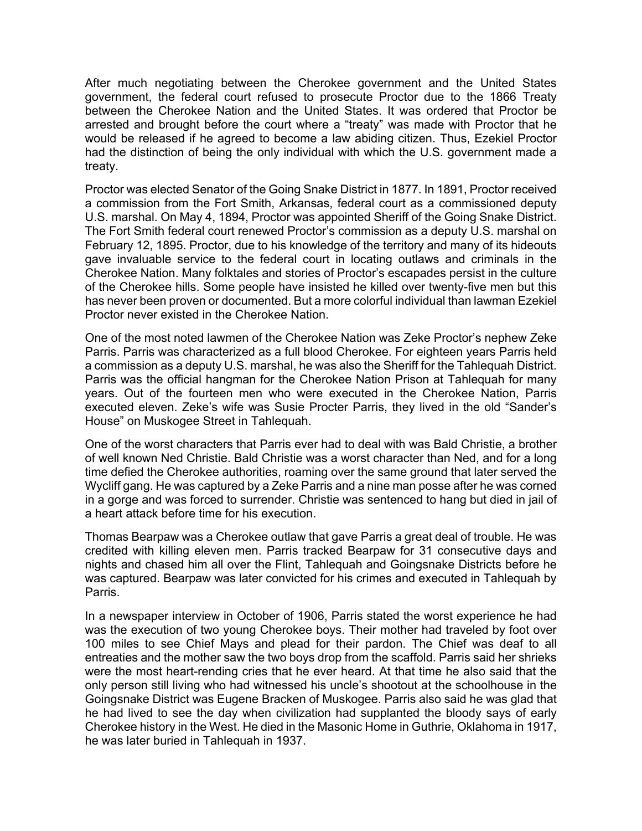After much negotiating between the Cherokee government and the United States government, the federal court refused to prosecute Proctor due to the 1866 Treaty between the Cherokee Nation and the United States. It was ordered that Proctor be arrested and brought before the court where a "treaty" was made with Proctor that he would be released if he agreed to become a law abiding citizen. Thus, Ezekiel Proctor had the distinction of being the only individual with which the U.S. government made a treaty.

Proctor was elected Senator of the Going Snake District in 1877. In 1891, Proctor received a commission from the Fort Smith, Arkansas, federal court as a commissioned deputy U.S. marshal. On May 4, 1894, Proctor was appointed Sheriff of the Going Snake District. The Fort Smith federal court renewed Proctor's commission as a deputy U.S. marshal on February 12, 1895. Proctor, due to his knowledge of the territory and many of its hideouts gave invaluable service to the federal court in locating outlaws and criminals in the Cherokee Nation. Many folktales and stories of Proctor's escapades persist in the culture of the Cherokee hills. Some people have insisted he killed over twenty-five men but this has never been proven or documented. But a more colorful individual than lawman Ezekiel Proctor never existed in the Cherokee Nation.

One of the most noted lawmen of the Cherokee Nation was Zeke Proctor's nephew Zeke Parris. Parris was characterized as a full blood Cherokee. For eighteen years Parris held a commission as a deputy U.S. marshal, he was also the Sheriff for the Tahlequah District. Parris was the official hangman for the Cherokee Nation Prison at Tahlequah for many years. Out of the fourteen men who were executed in the Cherokee Nation, Parris executed eleven. Zeke's wife was Susie Procter Parris, they lived in the old "Sander's House" on Muskogee Street in Tahlequah.

One of the worst characters that Parris ever had to deal with was Bald Christie, a brother of well known Ned Christie. Bald Christie was a worst character than Ned, and for a long time defied the Cherokee authorities, roaming over the same ground that later served the Wycliff gang. He was captured by a Zeke Parris and a nine man posse after he was corned in a gorge and was forced to surrender. Christie was sentenced to hang but died in jail of a heart attack before time for his execution.

Thomas Bearpaw was a Cherokee outlaw that gave Parris a great deal of trouble. He was credited with killing eleven men. Parris tracked Bearpaw for 31 consecutive days and nights and chased him all over the Flint, Tahlequah and Goingsnake Districts before he was captured. Bearpaw was later convicted for his crimes and executed in Tahlequah by Parris.

In a newspaper interview in October of 1906, Parris stated the worst experience he had was the execution of two young Cherokee boys. Their mother had traveled by foot over 100 miles to see Chief Mays and plead for their pardon. The Chief was deaf to all entreaties and the mother saw the two boys drop from the scaffold. Parris said her shrieks were the most heart-rending cries that he ever heard. At that time he also said that the only person still living who had witnessed his uncle's shootout at the schoolhouse in the Goingsnake District was Eugene Bracken of Muskogee. Parris also said he was glad that he had lived to see the day when civilization had supplanted the bloody says of early Cherokee history in the West. He died in the Masonic Home in Guthrie, Oklahoma in 1917, he was later buried in Tahlequah in 1937.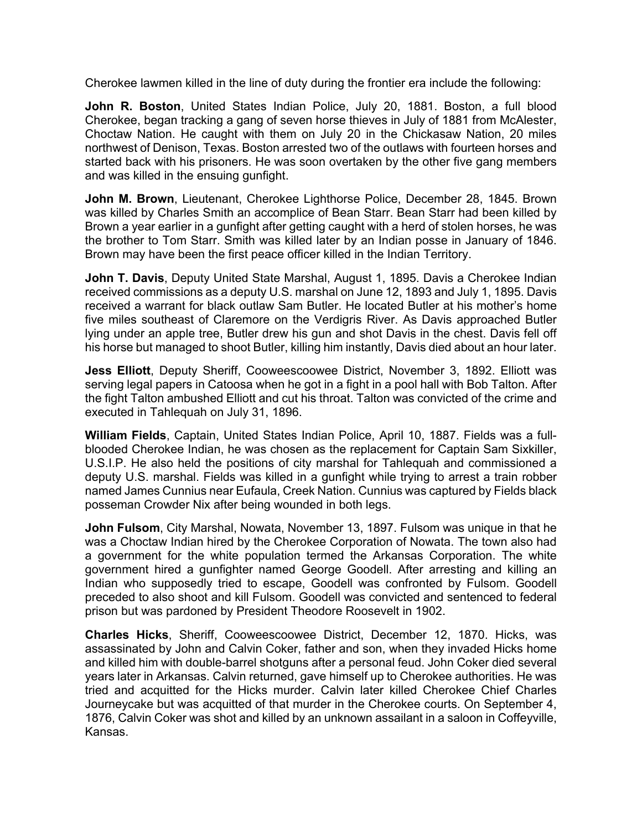Cherokee lawmen killed in the line of duty during the frontier era include the following:

**John R. Boston**, United States Indian Police, July 20, 1881. Boston, a full blood Cherokee, began tracking a gang of seven horse thieves in July of 1881 from McAlester, Choctaw Nation. He caught with them on July 20 in the Chickasaw Nation, 20 miles northwest of Denison, Texas. Boston arrested two of the outlaws with fourteen horses and started back with his prisoners. He was soon overtaken by the other five gang members and was killed in the ensuing gunfight.

**John M. Brown**, Lieutenant, Cherokee Lighthorse Police, December 28, 1845. Brown was killed by Charles Smith an accomplice of Bean Starr. Bean Starr had been killed by Brown a year earlier in a gunfight after getting caught with a herd of stolen horses, he was the brother to Tom Starr. Smith was killed later by an Indian posse in January of 1846. Brown may have been the first peace officer killed in the Indian Territory.

**John T. Davis**, Deputy United State Marshal, August 1, 1895. Davis a Cherokee Indian received commissions as a deputy U.S. marshal on June 12, 1893 and July 1, 1895. Davis received a warrant for black outlaw Sam Butler. He located Butler at his mother's home five miles southeast of Claremore on the Verdigris River. As Davis approached Butler lying under an apple tree, Butler drew his gun and shot Davis in the chest. Davis fell off his horse but managed to shoot Butler, killing him instantly, Davis died about an hour later.

**Jess Elliott**, Deputy Sheriff, Cooweescoowee District, November 3, 1892. Elliott was serving legal papers in Catoosa when he got in a fight in a pool hall with Bob Talton. After the fight Talton ambushed Elliott and cut his throat. Talton was convicted of the crime and executed in Tahlequah on July 31, 1896.

**William Fields**, Captain, United States Indian Police, April 10, 1887. Fields was a fullblooded Cherokee Indian, he was chosen as the replacement for Captain Sam Sixkiller, U.S.I.P. He also held the positions of city marshal for Tahlequah and commissioned a deputy U.S. marshal. Fields was killed in a gunfight while trying to arrest a train robber named James Cunnius near Eufaula, Creek Nation. Cunnius was captured by Fields black posseman Crowder Nix after being wounded in both legs.

**John Fulsom**, City Marshal, Nowata, November 13, 1897. Fulsom was unique in that he was a Choctaw Indian hired by the Cherokee Corporation of Nowata. The town also had a government for the white population termed the Arkansas Corporation. The white government hired a gunfighter named George Goodell. After arresting and killing an Indian who supposedly tried to escape, Goodell was confronted by Fulsom. Goodell preceded to also shoot and kill Fulsom. Goodell was convicted and sentenced to federal prison but was pardoned by President Theodore Roosevelt in 1902.

**Charles Hicks**, Sheriff, Cooweescoowee District, December 12, 1870. Hicks, was assassinated by John and Calvin Coker, father and son, when they invaded Hicks home and killed him with double-barrel shotguns after a personal feud. John Coker died several years later in Arkansas. Calvin returned, gave himself up to Cherokee authorities. He was tried and acquitted for the Hicks murder. Calvin later killed Cherokee Chief Charles Journeycake but was acquitted of that murder in the Cherokee courts. On September 4, 1876, Calvin Coker was shot and killed by an unknown assailant in a saloon in Coffeyville, Kansas.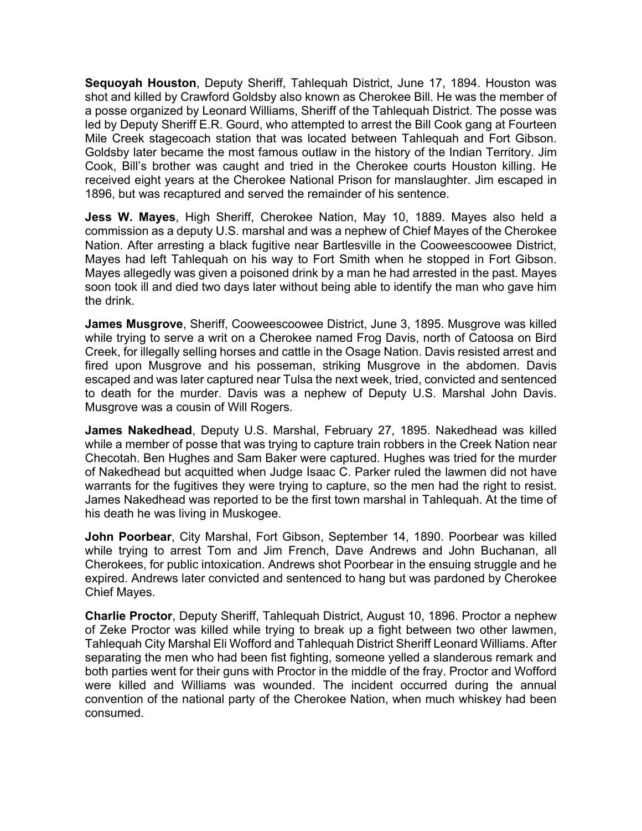**Sequoyah Houston**, Deputy Sheriff, Tahlequah District, June 17, 1894. Houston was shot and killed by Crawford Goldsby also known as Cherokee Bill. He was the member of a posse organized by Leonard Williams, Sheriff of the Tahlequah District. The posse was led by Deputy Sheriff E.R. Gourd, who attempted to arrest the Bill Cook gang at Fourteen Mile Creek stagecoach station that was located between Tahlequah and Fort Gibson. Goldsby later became the most famous outlaw in the history of the Indian Territory. Jim Cook, Bill's brother was caught and tried in the Cherokee courts Houston killing. He received eight years at the Cherokee National Prison for manslaughter. Jim escaped in 1896, but was recaptured and served the remainder of his sentence.

**Jess W. Mayes**, High Sheriff, Cherokee Nation, May 10, 1889. Mayes also held a commission as a deputy U.S. marshal and was a nephew of Chief Mayes of the Cherokee Nation. After arresting a black fugitive near Bartlesville in the Cooweescoowee District, Mayes had left Tahlequah on his way to Fort Smith when he stopped in Fort Gibson. Mayes allegedly was given a poisoned drink by a man he had arrested in the past. Mayes soon took ill and died two days later without being able to identify the man who gave him the drink.

**James Musgrove**, Sheriff, Cooweescoowee District, June 3, 1895. Musgrove was killed while trying to serve a writ on a Cherokee named Frog Davis, north of Catoosa on Bird Creek, for illegally selling horses and cattle in the Osage Nation. Davis resisted arrest and fired upon Musgrove and his posseman, striking Musgrove in the abdomen. Davis escaped and was later captured near Tulsa the next week, tried, convicted and sentenced to death for the murder. Davis was a nephew of Deputy U.S. Marshal John Davis. Musgrove was a cousin of Will Rogers.

**James Nakedhead**, Deputy U.S. Marshal, February 27, 1895. Nakedhead was killed while a member of posse that was trying to capture train robbers in the Creek Nation near Checotah. Ben Hughes and Sam Baker were captured. Hughes was tried for the murder of Nakedhead but acquitted when Judge Isaac C. Parker ruled the lawmen did not have warrants for the fugitives they were trying to capture, so the men had the right to resist. James Nakedhead was reported to be the first town marshal in Tahlequah. At the time of his death he was living in Muskogee.

**John Poorbear**, City Marshal, Fort Gibson, September 14, 1890. Poorbear was killed while trying to arrest Tom and Jim French, Dave Andrews and John Buchanan, all Cherokees, for public intoxication. Andrews shot Poorbear in the ensuing struggle and he expired. Andrews later convicted and sentenced to hang but was pardoned by Cherokee Chief Mayes.

**Charlie Proctor**, Deputy Sheriff, Tahlequah District, August 10, 1896. Proctor a nephew of Zeke Proctor was killed while trying to break up a fight between two other lawmen, Tahlequah City Marshal Eli Wofford and Tahlequah District Sheriff Leonard Williams. After separating the men who had been fist fighting, someone yelled a slanderous remark and both parties went for their guns with Proctor in the middle of the fray. Proctor and Wofford were killed and Williams was wounded. The incident occurred during the annual convention of the national party of the Cherokee Nation, when much whiskey had been consumed.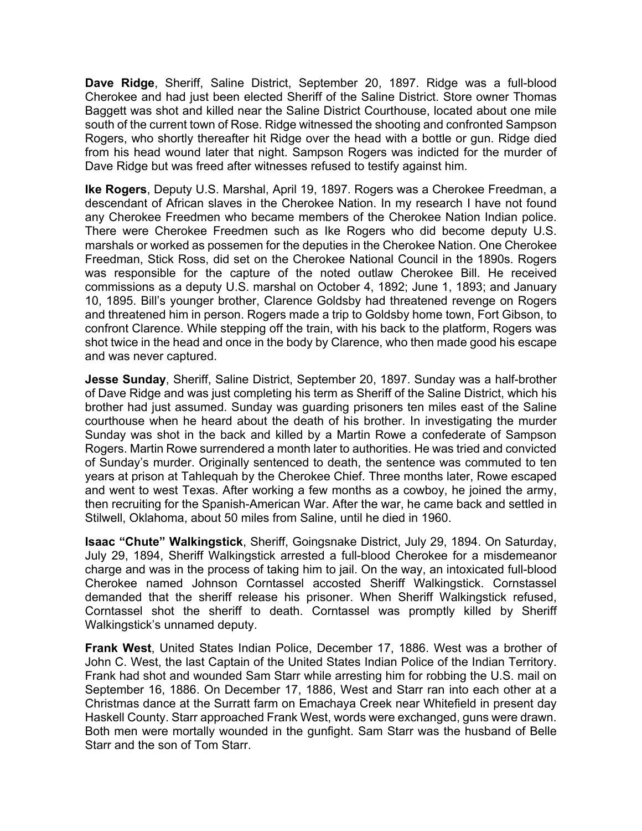**Dave Ridge**, Sheriff, Saline District, September 20, 1897. Ridge was a full-blood Cherokee and had just been elected Sheriff of the Saline District. Store owner Thomas Baggett was shot and killed near the Saline District Courthouse, located about one mile south of the current town of Rose. Ridge witnessed the shooting and confronted Sampson Rogers, who shortly thereafter hit Ridge over the head with a bottle or gun. Ridge died from his head wound later that night. Sampson Rogers was indicted for the murder of Dave Ridge but was freed after witnesses refused to testify against him.

**Ike Rogers**, Deputy U.S. Marshal, April 19, 1897. Rogers was a Cherokee Freedman, a descendant of African slaves in the Cherokee Nation. In my research I have not found any Cherokee Freedmen who became members of the Cherokee Nation Indian police. There were Cherokee Freedmen such as Ike Rogers who did become deputy U.S. marshals or worked as possemen for the deputies in the Cherokee Nation. One Cherokee Freedman, Stick Ross, did set on the Cherokee National Council in the 1890s. Rogers was responsible for the capture of the noted outlaw Cherokee Bill. He received commissions as a deputy U.S. marshal on October 4, 1892; June 1, 1893; and January 10, 1895. Bill's younger brother, Clarence Goldsby had threatened revenge on Rogers and threatened him in person. Rogers made a trip to Goldsby home town, Fort Gibson, to confront Clarence. While stepping off the train, with his back to the platform, Rogers was shot twice in the head and once in the body by Clarence, who then made good his escape and was never captured.

**Jesse Sunday**, Sheriff, Saline District, September 20, 1897. Sunday was a half-brother of Dave Ridge and was just completing his term as Sheriff of the Saline District, which his brother had just assumed. Sunday was guarding prisoners ten miles east of the Saline courthouse when he heard about the death of his brother. In investigating the murder Sunday was shot in the back and killed by a Martin Rowe a confederate of Sampson Rogers. Martin Rowe surrendered a month later to authorities. He was tried and convicted of Sunday's murder. Originally sentenced to death, the sentence was commuted to ten years at prison at Tahlequah by the Cherokee Chief. Three months later, Rowe escaped and went to west Texas. After working a few months as a cowboy, he joined the army, then recruiting for the Spanish-American War. After the war, he came back and settled in Stilwell, Oklahoma, about 50 miles from Saline, until he died in 1960.

**Isaac "Chute" Walkingstick**, Sheriff, Goingsnake District, July 29, 1894. On Saturday, July 29, 1894, Sheriff Walkingstick arrested a full-blood Cherokee for a misdemeanor charge and was in the process of taking him to jail. On the way, an intoxicated full-blood Cherokee named Johnson Corntassel accosted Sheriff Walkingstick. Cornstassel demanded that the sheriff release his prisoner. When Sheriff Walkingstick refused, Corntassel shot the sheriff to death. Corntassel was promptly killed by Sheriff Walkingstick's unnamed deputy.

**Frank West**, United States Indian Police, December 17, 1886. West was a brother of John C. West, the last Captain of the United States Indian Police of the Indian Territory. Frank had shot and wounded Sam Starr while arresting him for robbing the U.S. mail on September 16, 1886. On December 17, 1886, West and Starr ran into each other at a Christmas dance at the Surratt farm on Emachaya Creek near Whitefield in present day Haskell County. Starr approached Frank West, words were exchanged, guns were drawn. Both men were mortally wounded in the gunfight. Sam Starr was the husband of Belle Starr and the son of Tom Starr.